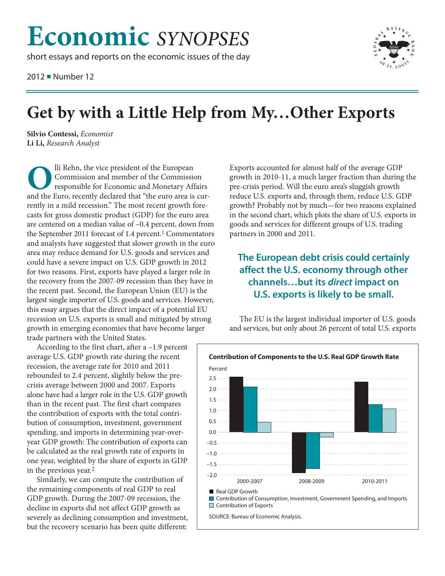# **Economic** *SYNOPSES*

short essays and reports on the economic issues of the day

2012 ■ Number 12



## **Get by with a Little Help from My…Other Exports**

**Silvio Contessi,** *Economist* **Li Li,** *Research Analyst*

**O**lli Rehn, the vice president of the European Commission and member of the Commission responsible for Economic and Monetary Affairs and the Euro, recently declared that "the euro area is currently in a mild recession." The most recent growth forecasts for gross domestic product (GDP) for the euro area are centered on a median value of –0.4 percent, down from the September 2011 forecast of 1.4 percent.<sup>1</sup> Commentators and analysts have suggested that slower growth in the euro area may reduce demand for U.S. goods and services and could have a severe impact on U.S. GDP growth in 2012 for two reasons. First, exports have played a larger role in the recovery from the 2007-09 recession than they have in the recent past. Second, the European Union (EU) is the largest single importer of U.S. goods and services. However, this essay argues that the direct impact of a potential EU recession on U.S. exports is small and mitigated by strong growth in emerging economies that have become larger trade partners with the United States.

According to the first chart, after a –1.9 percent average U.S. GDP growth rate during the recent recession, the average rate for 2010 and 2011 rebounded to 2.4 percent, slightly below the precrisis average between 2000 and 2007. Exports alone have had a larger role in the U.S. GDP growth than in the recent past. The first chart compares the contribution of exports with the total contribution of consumption, investment, government spending, and imports in determining year-overyear GDP growth: The contribution of exports can be calculated as the real growth rate of exports in one year, weighted by the share of exports in GDP in the previous year.2

Similarly, we can compute the contribution of the remaining components of real GDP to real GDP growth. During the 2007-09 recession, the decline in exports did not affect GDP growth as severely as declining consumption and investment, but the recovery scenario has been quite different:

Exports accounted for almost half of the average GDP growth in 2010-11, a much larger fraction than during the pre-crisis period. Will the euro area's sluggish growth reduce U.S. exports and, through them, reduce U.S. GDP growth? Probably not by much—for two reasons explained in the second chart, which plots the share of U.S. exports in goods and services for different groups of U.S. trading partners in 2000 and 2011.

## **The European debt crisis could certainly affect the U.S. economy through other channels…but its** *direct* **impact on U.S. exports is likely to be small.**

The EU is the largest individual importer of U.S. goods and services, but only about 26 percent of total U.S. exports